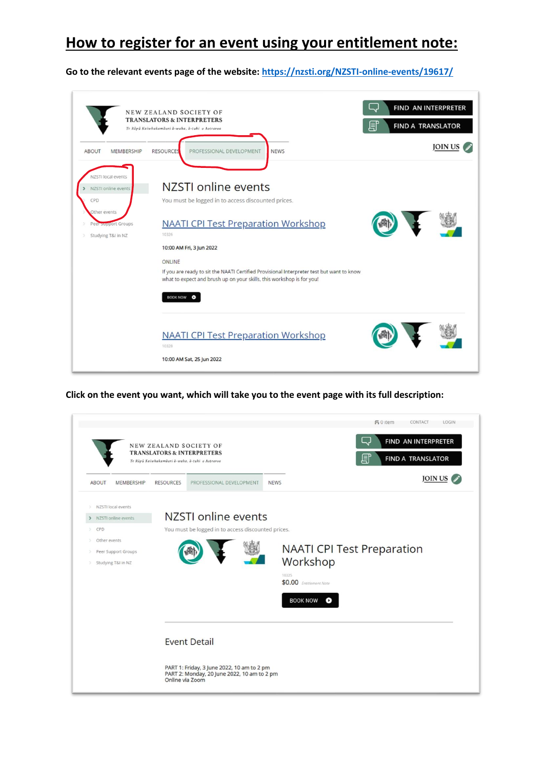## **How to register for an event using your entitlement note:**

**Go to the relevant events page of the website[: https://nzsti.org/NZSTI-online-events/19617/](https://nzsti.org/NZSTI-online-events/19617/)**

|                                                                                                               | <b>NEW ZEALAND SOCIETY OF</b><br><b>TRANSLATORS &amp; INTERPRETERS</b><br>Te Röpü Kaiwhakamäori ä-waha, ä-tuhi o Aotearoa                                                                                                                                                                                                                                       | FIND AN INTERPRETER<br><b>FIND A TRANSLATOR</b> |
|---------------------------------------------------------------------------------------------------------------|-----------------------------------------------------------------------------------------------------------------------------------------------------------------------------------------------------------------------------------------------------------------------------------------------------------------------------------------------------------------|-------------------------------------------------|
| <b>MEMBERSHIP</b><br><b>ABOUT</b>                                                                             | <b>RESOURCES</b><br>PROFESSIONAL DEVELOPMENT<br><b>NEWS</b>                                                                                                                                                                                                                                                                                                     | <b>JOIN US</b>                                  |
| NZSTI local events<br>NZSTI online events<br>CPD<br>Other events<br>Peer support Groups<br>Studying T&I in NZ | NZSTI online events<br>You must be logged in to access discounted prices.<br><b>NAATI CPI Test Preparation Workshop</b><br>10326<br>10:00 AM Fri, 3 Jun 2022<br>ONLINE<br>If you are ready to sit the NAATI Certified Provisional Interpreter test but want to know<br>what to expect and brush up on your skills, this workshop is for you!<br><b>BOOK NOW</b> |                                                 |
|                                                                                                               | <b>NAATI CPI Test Preparation Workshop</b><br>10328<br>10:00 AM Sat, 25 Jun 2022                                                                                                                                                                                                                                                                                |                                                 |

**Click on the event you want, which will take you to the event page with its full description:**

|                                                                                                                                                                            | Te Röpü Kaiwhakamãori â-waha, ã-tuhi o Aotearoa | NEW ZEALAND SOCIETY OF<br><b>TRANSLATORS &amp; INTERPRETERS</b>                                                  |                                                                 | $50$ item<br>CONTACT LOGIN<br>FIND AN INTERPRETER<br><b>FIND A TRANSLATOR</b> |
|----------------------------------------------------------------------------------------------------------------------------------------------------------------------------|-------------------------------------------------|------------------------------------------------------------------------------------------------------------------|-----------------------------------------------------------------|-------------------------------------------------------------------------------|
| <b>ABOUT</b><br>MEMBERSHIP                                                                                                                                                 | <b>RESOURCES</b>                                | PROFESSIONAL DEVELOPMENT                                                                                         | <b>NEWS</b>                                                     | JOIN US (                                                                     |
| NZSTI local events<br>NZSTI online events<br>$\rightarrow$<br>CPD<br>$\rightarrow$<br>Other events<br>$\rightarrow$<br>Peer Support Groups<br>><br>Studying T&I in NZ<br>× |                                                 | NZSTI online events<br>You must be logged in to access discounted prices.                                        | Workshop<br>10325<br>\$0.00 Entitlement Note<br><b>BOOK NOW</b> | <b>NAATI CPI Test Preparation</b><br>Ø                                        |
|                                                                                                                                                                            | Online via Zoom                                 | <b>Event Detail</b><br>PART 1: Friday, 3 June 2022, 10 am to 2 pm<br>PART 2: Monday, 20 June 2022, 10 am to 2 pm |                                                                 |                                                                               |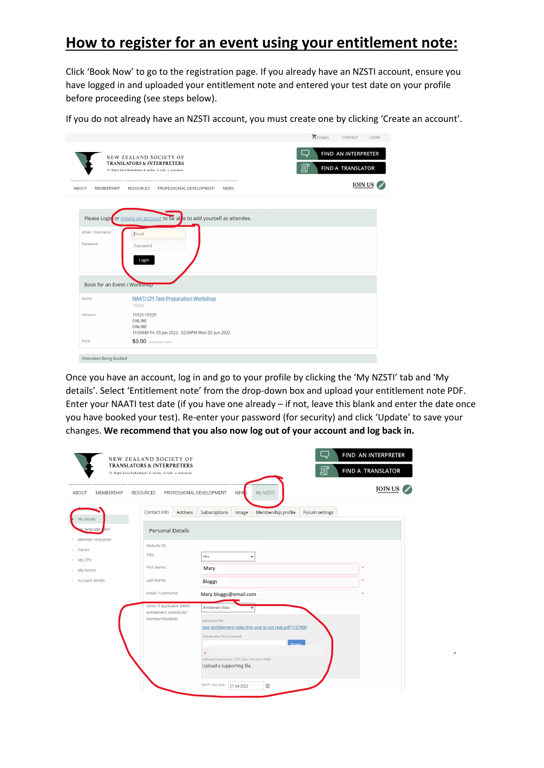## **How to register for an event using your entitlement note:**

Click 'Book Now' to go to the registration page. If you already have an NZSTI account, ensure you have logged in and uploaded your entitlement note and entered your test date on your profile before proceeding (see steps below).

If you do not already have an NZSTI account, you must create one by clicking 'Create an account'.

|                                   |                                                                                                                    | $\frac{1}{22}$ 0 item                         |
|-----------------------------------|--------------------------------------------------------------------------------------------------------------------|-----------------------------------------------|
|                                   | NEW ZEALAND SOCIETY OF<br><b>TRANSLATORS &amp; INTERPRETERS</b><br>Te Röpü Kaiwhakamãori ā-waha, ā-tuhi o Aotearoa | FIND AN INTERPRETER<br>盯<br>FIND A TRANSLATOR |
| <b>ABOUT</b><br><b>MEMBERSHIP</b> | <b>RESOURCES</b><br>PROFESSIONAL DEVELOPMENT<br><b>NEWS</b>                                                        | <b>JOIN US</b>                                |
|                                   |                                                                                                                    |                                               |
|                                   | Please Logir or create an account to be able to add yourself as attendee.                                          |                                               |
| Email / Username:                 | Email                                                                                                              |                                               |
| Password:                         | Password                                                                                                           |                                               |
|                                   | Login                                                                                                              |                                               |
| Book for an Event / Worksnop      |                                                                                                                    |                                               |
| Name:                             | <b>NAATI CPI Test Preparation Workshop</b><br>10325                                                                |                                               |
| Instance:                         | 10325-10325<br><b>ONLINE</b><br><b>ONLINE</b><br>10:00AM Fri, 03 Jun 2022 - 02:00PM Mon 20, Jun 2022               |                                               |

Once you have an account, log in and go to your profile by clicking the 'My NZSTI' tab and 'My details'. Select 'Entitlement note' from the drop-down box and upload your entitlement note PDF. Enter your NAATI test date (if you have one already – if not, leave this blank and enter the date once you have booked your test). Re-enter your password (for security) and click 'Update' to save your changes. **We recommend that you also now log out of your account and log back in.**

|                                                                                                                 | NEW ZEALAND SOCIETY OF<br><b>TRANSLATORS &amp; INTERPRETERS</b><br>Te Röpü Kaiwhakamäori ā-waha, ā-tuhi o Aotearoa |                                                                                                                                                                                                    |                  |                                                                              | 圓              | FIND AN INTERPRETER<br>FIND A TRANSLATOR |
|-----------------------------------------------------------------------------------------------------------------|--------------------------------------------------------------------------------------------------------------------|----------------------------------------------------------------------------------------------------------------------------------------------------------------------------------------------------|------------------|------------------------------------------------------------------------------|----------------|------------------------------------------|
| <b>ABOUT</b><br><b>MEMBERSHIP</b>                                                                               | <b>RESOURCES</b><br>PROFESSIONAL DEVELOPMENT                                                                       |                                                                                                                                                                                                    | NEW <sub>5</sub> | My NZSTI                                                                     |                | <b>JOIN US</b>                           |
| My details                                                                                                      | Contact Info<br><b>Address</b>                                                                                     | Subscriptions                                                                                                                                                                                      | Image            | Membership profile                                                           | Forum settings |                                          |
| Language p<br>airs<br>Member resources<br>Forum<br>><br>My CPD<br>><br>My events<br>><br><b>Account details</b> | <b>Personal Details</b><br>Website ID:<br>Title:<br>First Name:<br>Last Name:                                      | Mrs<br>Mary<br>Bloggs                                                                                                                                                                              | $\checkmark$     |                                                                              |                |                                          |
|                                                                                                                 | Email / Username:<br>Select if applicable (MBIE<br>entitlement note/AUSIT<br>member/student):                      | Mary.bloggs@email.com<br><b>Entitlement Note</b><br>Uploaded File:<br>Choose the File to Upload:<br>(Allowed Extensions: PDF; Max File Size: 4MB)<br>Upload a supporting file.<br>NAATI test date: | 21 Jul 2022      | test entitlement note this one is not real.pdf (157KB)<br><b>Rrowse</b><br>画 |                |                                          |